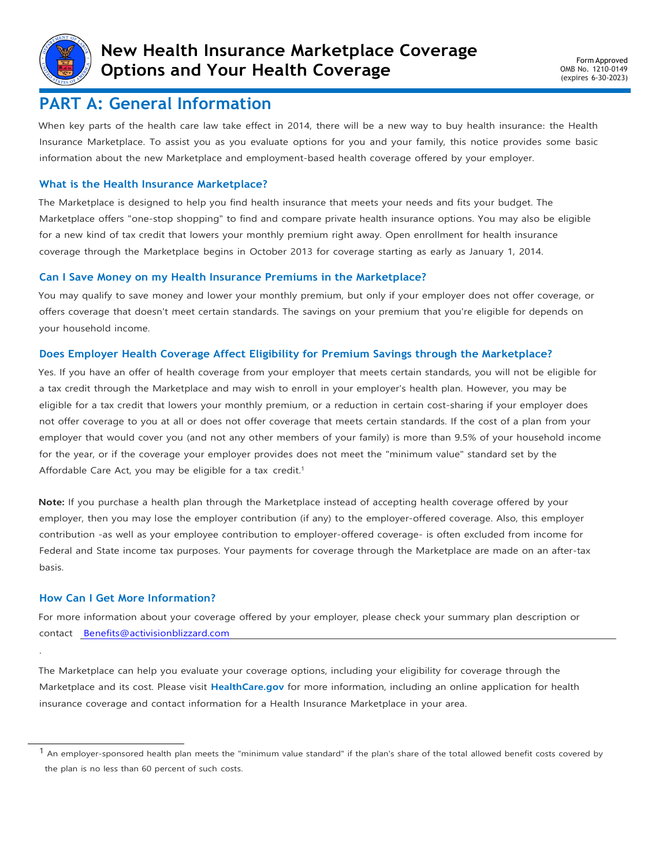

## **PART A: General Information**

When key parts of the health care law take effect in 2014, there will be a new way to buy health insurance: the Health Insurance Marketplace. To assist you as you evaluate options for you and your family, this notice provides some basic information about the new Marketplace and employment-based health coverage offered by your employer.

### **What is the Health Insurance Marketplace?**

The Marketplace is designed to help you find health insurance that meets your needs and fits your budget. The Marketplace offers "one-stop shopping" to find and compare private health insurance options. You may also be eligible for a new kind of tax credit that lowers your monthly premium right away. Open enrollment for health insurance coverage through the Marketplace begins in October 2013 for coverage starting as early as January 1, 2014.

#### **Can I Save Money on my Health Insurance Premiums in the Marketplace?**

You may qualify to save money and lower your monthly premium, but only if your employer does not offer coverage, or offers coverage that doesn't meet certain standards. The savings on your premium that you're eligible for depends on your household income.

#### **Does Employer Health Coverage Affect Eligibility for Premium Savings through the Marketplace?**

Yes. If you have an offer of health coverage from your employer that meets certain standards, you will not be eligible for a tax credit through the Marketplace and may wish to enroll in your employer's health plan. However, you may be eligible for a tax credit that lowers your monthly premium, or a reduction in certain cost-sharing if your employer does not offer coverage to you at all or does not offer coverage that meets certain standards. If the cost of a plan from your employer that would cover you (and not any other members of your family) is more than 9.5% of your household income for the year, or if the coverage your employer provides does not meet the "minimum value" standard set by the Affordable Care Act, you may be eligible for a tax credit.<sup>1</sup>

**Note:** If you purchase a health plan through the Marketplace instead of accepting health coverage offered by your employer, then you may lose the employer contribution (if any) to the employer-offered coverage. Also, this employer contribution -as well as your employee contribution to employer-offered coverage- is often excluded from income for Federal and State income tax purposes. Your payments for coverage through the Marketplace are made on an after-tax basis.

#### **How Can I Get More Information?**

.

For more information about your coverage offered by your employer, please check your summary plan description or contact [Benefits@activisionblizzard.com](mailto:Benefits@activisionblizzard.com)

The Marketplace can help you evaluate your coverage options, including your eligibility for coverage through the Marketplace and its cost. Please visit **[HealthCare.gov](http://www.healthcare.gov/)** for more information, including an online application for health insurance coverage and contact information for a Health Insurance Marketplace in your area.

<sup>&</sup>lt;sup>1</sup> An employer-sponsored health plan meets the "minimum value standard" if the plan's share of the total allowed benefit costs covered by the plan is no less than 60 percent of such costs.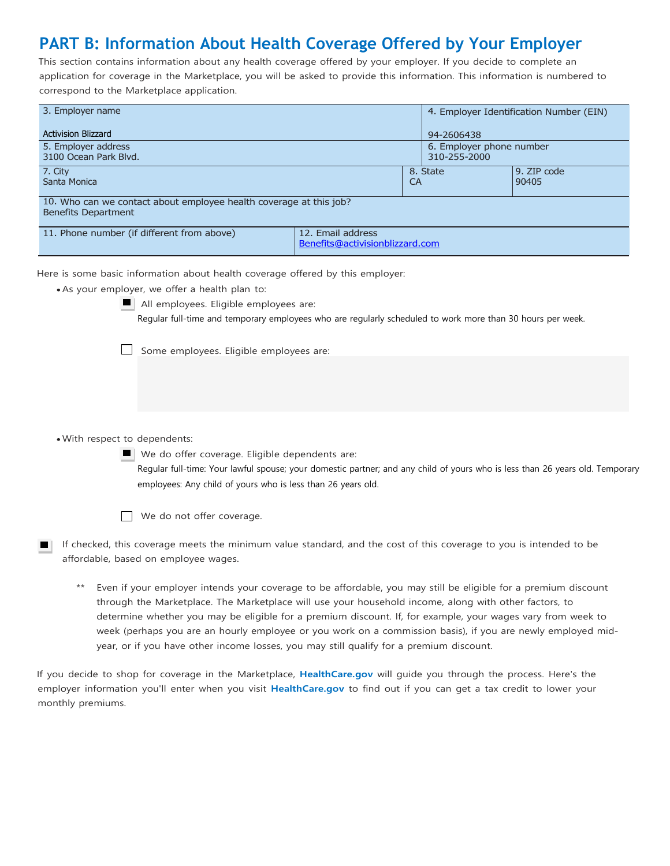# **PART B: Information About Health Coverage Offered by Your Employer**

This section contains information about any health coverage offered by your employer. If you decide to complete an application for coverage in the Marketplace, you will be asked to provide this information. This information is numbered to correspond to the Marketplace application.

| 3. Employer name                                                                                 |                                                      |                       | 4. Employer Identification Number (EIN)  |                      |  |  |
|--------------------------------------------------------------------------------------------------|------------------------------------------------------|-----------------------|------------------------------------------|----------------------|--|--|
| <b>Activision Blizzard</b>                                                                       |                                                      |                       | 94-2606438                               |                      |  |  |
| 5. Employer address<br>3100 Ocean Park Blvd.                                                     |                                                      |                       | 6. Employer phone number<br>310-255-2000 |                      |  |  |
| 7. City<br>Santa Monica                                                                          |                                                      | 8. State<br><b>CA</b> |                                          | 9. ZIP code<br>90405 |  |  |
| 10. Who can we contact about employee health coverage at this job?<br><b>Benefits Department</b> |                                                      |                       |                                          |                      |  |  |
| 11. Phone number (if different from above)                                                       | 12. Email address<br>Benefits@activisionblizzard.com |                       |                                          |                      |  |  |

Here is some basic information about health coverage offered by this employer:

- As your employer, we offer a health plan to:
	-
- All employees. Eligible employees are:

Regular full-time and temporary employees who are regularly scheduled to work more than 30 hours per week.

Some employees. Eligible employees are:

#### • With respect to dependents:

We do offer coverage. Eligible dependents are: Regular full-time: Your lawful spouse; your domestic partner; and any child of yours who is less than 26 years old. Temporary employees: Any child of yours who is less than 26 years old.



- If checked, this coverage meets the minimum value standard, and the cost of this coverage to you is intended to be affordable, based on employee wages.
	- \*\* Even if your employer intends your coverage to be affordable, you may still be eligible for a premium discount through the Marketplace. The Marketplace will use your household income, along with other factors, to determine whether you may be eligible for a premium discount. If, for example, your wages vary from week to week (perhaps you are an hourly employee or you work on a commission basis), if you are newly employed midyear, or if you have other income losses, you may still qualify for a premium discount.

If you decide to shop for coverage in the Marketplace, **[HealthCare.gov](http://www.healthcare.gov/)** will guide you through the process. Here's the employer information you'll enter when you visit **[HealthCare.gov](http://www.healthcare.gov/)** to find out if you can get a tax credit to lower your monthly premiums.